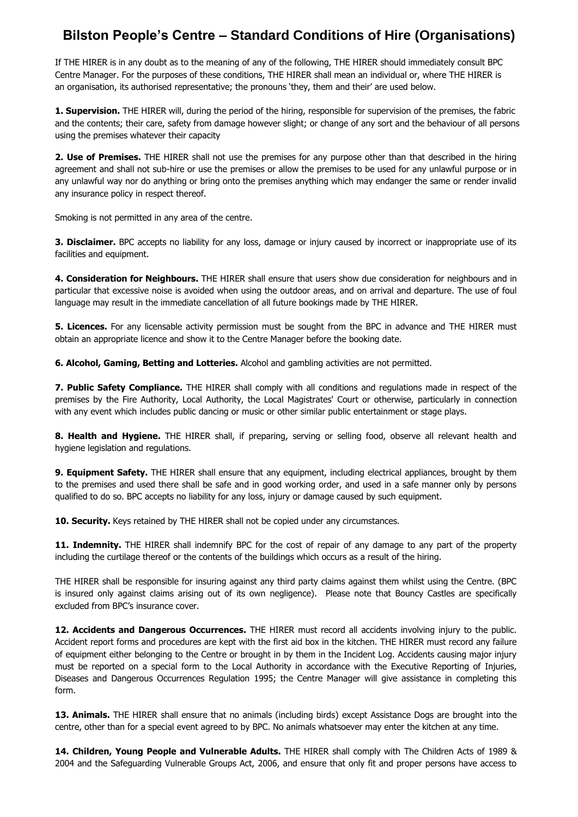## **Bilston People's Centre – Standard Conditions of Hire (Organisations)**

If THE HIRER is in any doubt as to the meaning of any of the following, THE HIRER should immediately consult BPC Centre Manager. For the purposes of these conditions, THE HIRER shall mean an individual or, where THE HIRER is an organisation, its authorised representative; the pronouns 'they, them and their' are used below.

**1. Supervision.** THE HIRER will, during the period of the hiring, responsible for supervision of the premises, the fabric and the contents; their care, safety from damage however slight; or change of any sort and the behaviour of all persons using the premises whatever their capacity

**2. Use of Premises.** THE HIRER shall not use the premises for any purpose other than that described in the hiring agreement and shall not sub-hire or use the premises or allow the premises to be used for any unlawful purpose or in any unlawful way nor do anything or bring onto the premises anything which may endanger the same or render invalid any insurance policy in respect thereof.

Smoking is not permitted in any area of the centre.

**3. Disclaimer.** BPC accepts no liability for any loss, damage or injury caused by incorrect or inappropriate use of its facilities and equipment.

**4. Consideration for Neighbours.** THE HIRER shall ensure that users show due consideration for neighbours and in particular that excessive noise is avoided when using the outdoor areas, and on arrival and departure. The use of foul language may result in the immediate cancellation of all future bookings made by THE HIRER.

**5. Licences.** For any licensable activity permission must be sought from the BPC in advance and THE HIRER must obtain an appropriate licence and show it to the Centre Manager before the booking date.

**6. Alcohol, Gaming, Betting and Lotteries.** Alcohol and gambling activities are not permitted.

**7. Public Safety Compliance.** THE HIRER shall comply with all conditions and regulations made in respect of the premises by the Fire Authority, Local Authority, the Local Magistrates' Court or otherwise, particularly in connection with any event which includes public dancing or music or other similar public entertainment or stage plays.

**8. Health and Hygiene.** THE HIRER shall, if preparing, serving or selling food, observe all relevant health and hygiene legislation and regulations.

**9. Equipment Safety.** THE HIRER shall ensure that any equipment, including electrical appliances, brought by them to the premises and used there shall be safe and in good working order, and used in a safe manner only by persons qualified to do so. BPC accepts no liability for any loss, injury or damage caused by such equipment.

**10. Security.** Keys retained by THE HIRER shall not be copied under any circumstances.

**11. Indemnity.** THE HIRER shall indemnify BPC for the cost of repair of any damage to any part of the property including the curtilage thereof or the contents of the buildings which occurs as a result of the hiring.

THE HIRER shall be responsible for insuring against any third party claims against them whilst using the Centre. (BPC is insured only against claims arising out of its own negligence). Please note that Bouncy Castles are specifically excluded from BPC's insurance cover.

12. Accidents and Dangerous Occurrences. THE HIRER must record all accidents involving injury to the public. Accident report forms and procedures are kept with the first aid box in the kitchen. THE HIRER must record any failure of equipment either belonging to the Centre or brought in by them in the Incident Log. Accidents causing major injury must be reported on a special form to the Local Authority in accordance with the Executive Reporting of Injuries, Diseases and Dangerous Occurrences Regulation 1995; the Centre Manager will give assistance in completing this form.

**13. Animals.** THE HIRER shall ensure that no animals (including birds) except Assistance Dogs are brought into the centre, other than for a special event agreed to by BPC. No animals whatsoever may enter the kitchen at any time.

**14. Children, Young People and Vulnerable Adults.** THE HIRER shall comply with The Children Acts of 1989 & 2004 and the Safeguarding Vulnerable Groups Act, 2006, and ensure that only fit and proper persons have access to